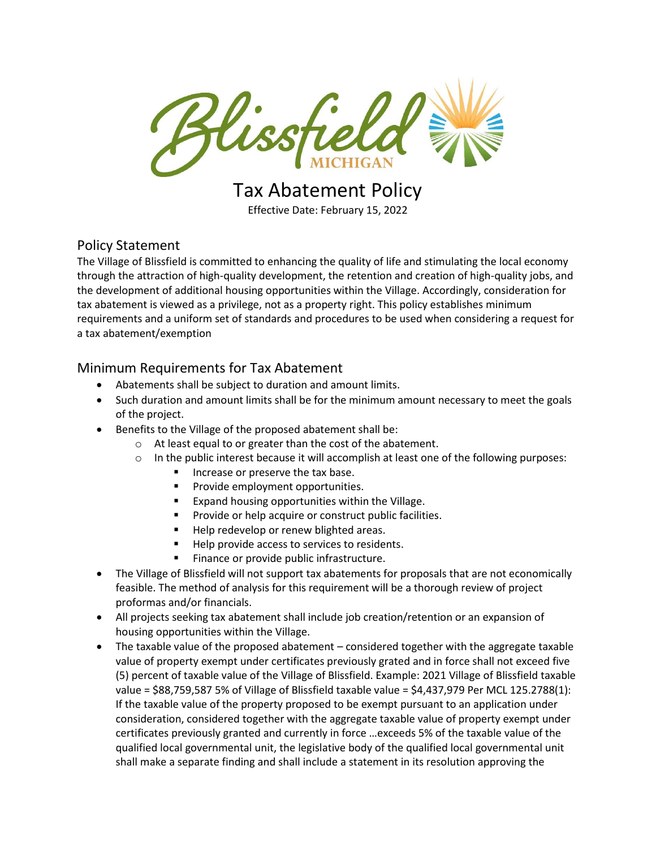

# Tax Abatement Policy

Effective Date: February 15, 2022

## Policy Statement

The Village of Blissfield is committed to enhancing the quality of life and stimulating the local economy through the attraction of high-quality development, the retention and creation of high-quality jobs, and the development of additional housing opportunities within the Village. Accordingly, consideration for tax abatement is viewed as a privilege, not as a property right. This policy establishes minimum requirements and a uniform set of standards and procedures to be used when considering a request for a tax abatement/exemption

## Minimum Requirements for Tax Abatement

- Abatements shall be subject to duration and amount limits.
- Such duration and amount limits shall be for the minimum amount necessary to meet the goals of the project.
- Benefits to the Village of the proposed abatement shall be:
	- o At least equal to or greater than the cost of the abatement.
	- $\circ$  In the public interest because it will accomplish at least one of the following purposes:
		- Increase or preserve the tax base.
		- Provide employment opportunities.
		- Expand housing opportunities within the Village.
		- Provide or help acquire or construct public facilities.
		- Help redevelop or renew blighted areas.
		- Help provide access to services to residents.
		- Finance or provide public infrastructure.
- The Village of Blissfield will not support tax abatements for proposals that are not economically feasible. The method of analysis for this requirement will be a thorough review of project proformas and/or financials.
- All projects seeking tax abatement shall include job creation/retention or an expansion of housing opportunities within the Village.
- The taxable value of the proposed abatement considered together with the aggregate taxable value of property exempt under certificates previously grated and in force shall not exceed five (5) percent of taxable value of the Village of Blissfield. Example: 2021 Village of Blissfield taxable value = \$88,759,587 5% of Village of Blissfield taxable value = \$4,437,979 Per MCL 125.2788(1): If the taxable value of the property proposed to be exempt pursuant to an application under consideration, considered together with the aggregate taxable value of property exempt under certificates previously granted and currently in force …exceeds 5% of the taxable value of the qualified local governmental unit, the legislative body of the qualified local governmental unit shall make a separate finding and shall include a statement in its resolution approving the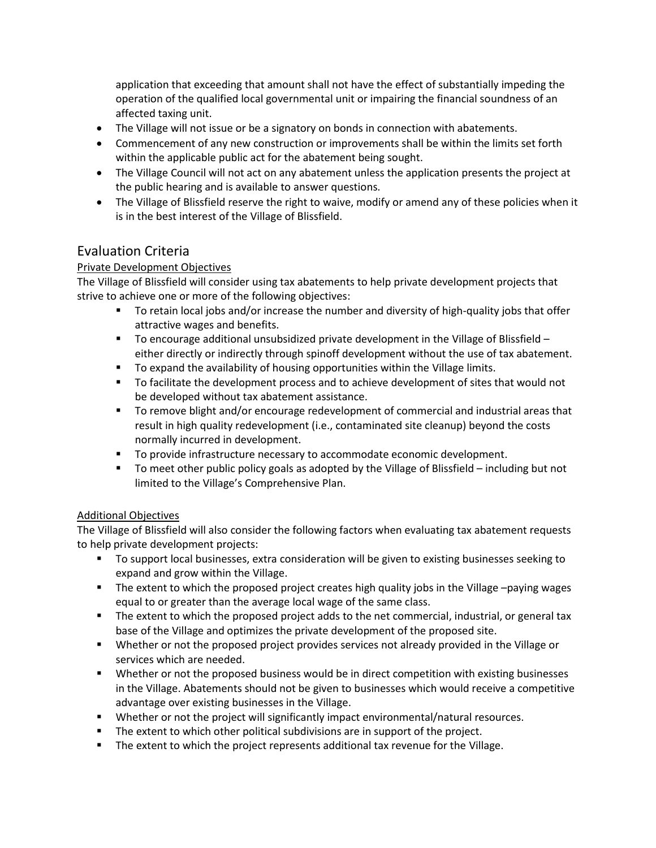application that exceeding that amount shall not have the effect of substantially impeding the operation of the qualified local governmental unit or impairing the financial soundness of an affected taxing unit.

- The Village will not issue or be a signatory on bonds in connection with abatements.
- Commencement of any new construction or improvements shall be within the limits set forth within the applicable public act for the abatement being sought.
- The Village Council will not act on any abatement unless the application presents the project at the public hearing and is available to answer questions.
- The Village of Blissfield reserve the right to waive, modify or amend any of these policies when it is in the best interest of the Village of Blissfield.

## Evaluation Criteria

#### Private Development Objectives

The Village of Blissfield will consider using tax abatements to help private development projects that strive to achieve one or more of the following objectives:

- To retain local jobs and/or increase the number and diversity of high-quality jobs that offer attractive wages and benefits.
- $\blacksquare$  To encourage additional unsubsidized private development in the Village of Blissfield either directly or indirectly through spinoff development without the use of tax abatement.
- To expand the availability of housing opportunities within the Village limits.
- To facilitate the development process and to achieve development of sites that would not be developed without tax abatement assistance.
- To remove blight and/or encourage redevelopment of commercial and industrial areas that result in high quality redevelopment (i.e., contaminated site cleanup) beyond the costs normally incurred in development.
- To provide infrastructure necessary to accommodate economic development.
- To meet other public policy goals as adopted by the Village of Blissfield including but not limited to the Village's Comprehensive Plan.

#### Additional Objectives

The Village of Blissfield will also consider the following factors when evaluating tax abatement requests to help private development projects:

- To support local businesses, extra consideration will be given to existing businesses seeking to expand and grow within the Village.
- The extent to which the proposed project creates high quality jobs in the Village –paying wages equal to or greater than the average local wage of the same class.
- The extent to which the proposed project adds to the net commercial, industrial, or general tax base of the Village and optimizes the private development of the proposed site.
- **■** Whether or not the proposed project provides services not already provided in the Village or services which are needed.
- Whether or not the proposed business would be in direct competition with existing businesses in the Village. Abatements should not be given to businesses which would receive a competitive advantage over existing businesses in the Village.
- Whether or not the project will significantly impact environmental/natural resources.
- The extent to which other political subdivisions are in support of the project.
- The extent to which the project represents additional tax revenue for the Village.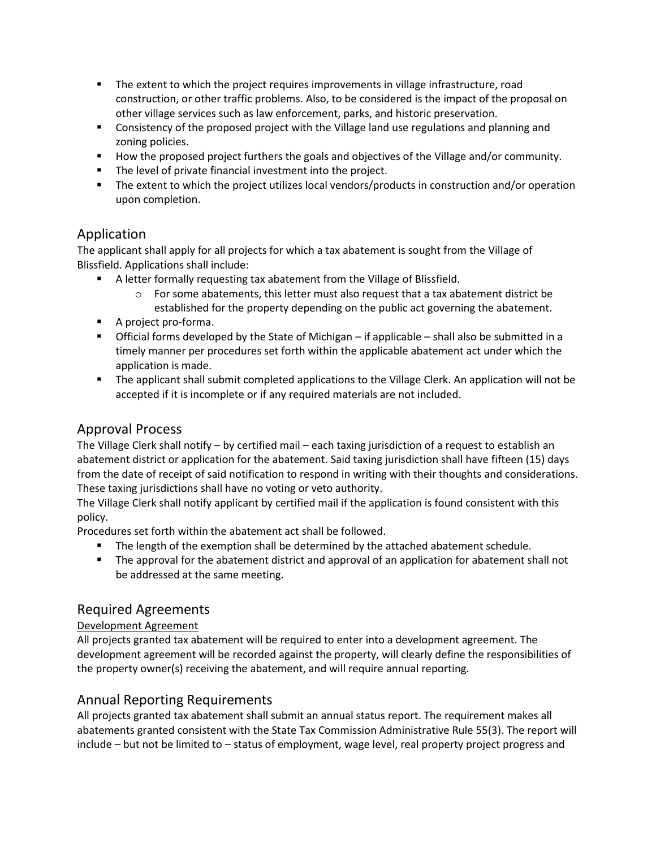- The extent to which the project requires improvements in village infrastructure, road construction, or other traffic problems. Also, to be considered is the impact of the proposal on other village services such as law enforcement, parks, and historic preservation.
- Consistency of the proposed project with the Village land use regulations and planning and zoning policies.
- How the proposed project furthers the goals and objectives of the Village and/or community.
- The level of private financial investment into the project.
- The extent to which the project utilizes local vendors/products in construction and/or operation upon completion.

## Application

The applicant shall apply for all projects for which a tax abatement is sought from the Village of Blissfield. Applications shall include:

- A letter formally requesting tax abatement from the Village of Blissfield.
	- $\circ$  For some abatements, this letter must also request that a tax abatement district be established for the property depending on the public act governing the abatement.
- A project pro-forma.
- **•** Official forms developed by the State of Michigan if applicable shall also be submitted in a timely manner per procedures set forth within the applicable abatement act under which the application is made.
- The applicant shall submit completed applications to the Village Clerk. An application will not be accepted if it is incomplete or if any required materials are not included.

# Approval Process

The Village Clerk shall notify – by certified mail – each taxing jurisdiction of a request to establish an abatement district or application for the abatement. Said taxing jurisdiction shall have fifteen (15) days from the date of receipt of said notification to respond in writing with their thoughts and considerations. These taxing jurisdictions shall have no voting or veto authority.

The Village Clerk shall notify applicant by certified mail if the application is found consistent with this policy.

Procedures set forth within the abatement act shall be followed.

- The length of the exemption shall be determined by the attached abatement schedule.
- The approval for the abatement district and approval of an application for abatement shall not be addressed at the same meeting.

# Required Agreements

#### Development Agreement

All projects granted tax abatement will be required to enter into a development agreement. The development agreement will be recorded against the property, will clearly define the responsibilities of the property owner(s) receiving the abatement, and will require annual reporting.

# Annual Reporting Requirements

All projects granted tax abatement shall submit an annual status report. The requirement makes all abatements granted consistent with the State Tax Commission Administrative Rule 55(3). The report will include – but not be limited to – status of employment, wage level, real property project progress and